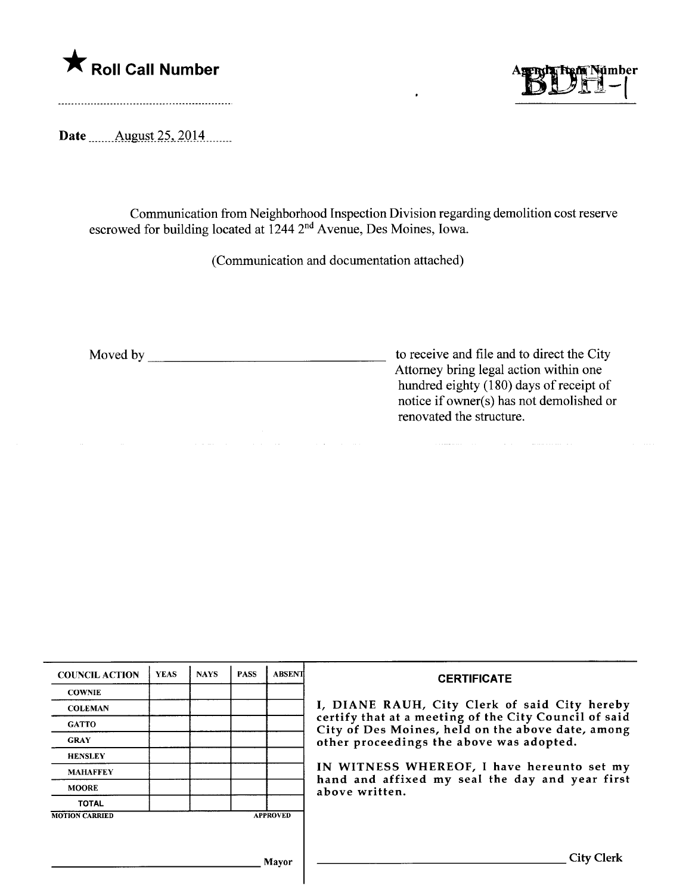



Date  $\frac{\text{August }25, 2014 \dots}{\text{August }25, 2014 \dots}$ 

Communication from Neighborhood Inspection Division regarding demolition cost reserve escrowed for building located at 1244 2<sup>nd</sup> Avenue, Des Moines, Iowa.

(Communication and documentation attached)

and the company

Moved by <u>the contract of the City</u> to receive and file and to direct the City Attorney bring legal action within one hundred eighty (180) days of receipt of notice if owner(s) has not demolished or renovated the structure.

| <b>COUNCIL ACTION</b> | <b>YEAS</b> | <b>NAYS</b> | <b>PASS</b> | <b>ABSENT</b>   | <b>CERTIFICATE</b>                                                                                                                                                                                                                                                        |  |  |  |
|-----------------------|-------------|-------------|-------------|-----------------|---------------------------------------------------------------------------------------------------------------------------------------------------------------------------------------------------------------------------------------------------------------------------|--|--|--|
| <b>COWNIE</b>         |             |             |             |                 |                                                                                                                                                                                                                                                                           |  |  |  |
| <b>COLEMAN</b>        |             |             |             |                 | I, DIANE RAUH, City Clerk of said City hereby                                                                                                                                                                                                                             |  |  |  |
| <b>GATTO</b>          |             |             |             |                 | certify that at a meeting of the City Council of said<br>City of Des Moines, held on the above date, among<br>other proceedings the above was adopted.<br>IN WITNESS WHEREOF, I have hereunto set my<br>hand and affixed my seal the day and year first<br>above written. |  |  |  |
| <b>GRAY</b>           |             |             |             |                 |                                                                                                                                                                                                                                                                           |  |  |  |
| <b>HENSLEY</b>        |             |             |             |                 |                                                                                                                                                                                                                                                                           |  |  |  |
| <b>MAHAFFEY</b>       |             |             |             |                 |                                                                                                                                                                                                                                                                           |  |  |  |
| <b>MOORE</b>          |             |             |             |                 |                                                                                                                                                                                                                                                                           |  |  |  |
| <b>TOTAL</b>          |             |             |             |                 |                                                                                                                                                                                                                                                                           |  |  |  |
| <b>MOTION CARRIED</b> |             |             |             | <b>APPROVED</b> |                                                                                                                                                                                                                                                                           |  |  |  |
|                       |             |             |             |                 |                                                                                                                                                                                                                                                                           |  |  |  |
|                       |             |             |             | Mavor           | City                                                                                                                                                                                                                                                                      |  |  |  |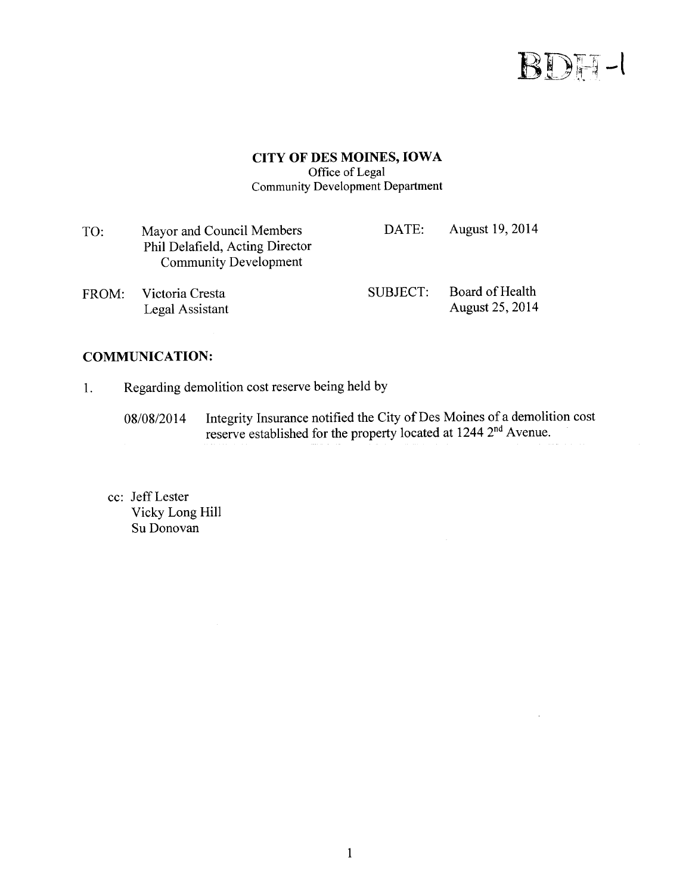

## **CITY OF DES MOINES, IOWA** Office of Legal **Community Development Department**

| TO:   | Mayor and Council Members<br>Phil Delafield, Acting Director<br><b>Community Development</b> | DATE:    | August 19, 2014                           |
|-------|----------------------------------------------------------------------------------------------|----------|-------------------------------------------|
| FROM: | Victoria Cresta<br>Legal Assistant                                                           | SUBJECT: | Board of Health<br><b>August 25, 2014</b> |

## **COMMUNICATION:**

- Regarding demolition cost reserve being held by  $1.$ 
	- Integrity Insurance notified the City of Des Moines of a demolition cost reserve established for the property located at 1244 2<sup>nd</sup> Avenue. 08/08/2014
	- cc: Jeff Lester Vicky Long Hill Su Donovan